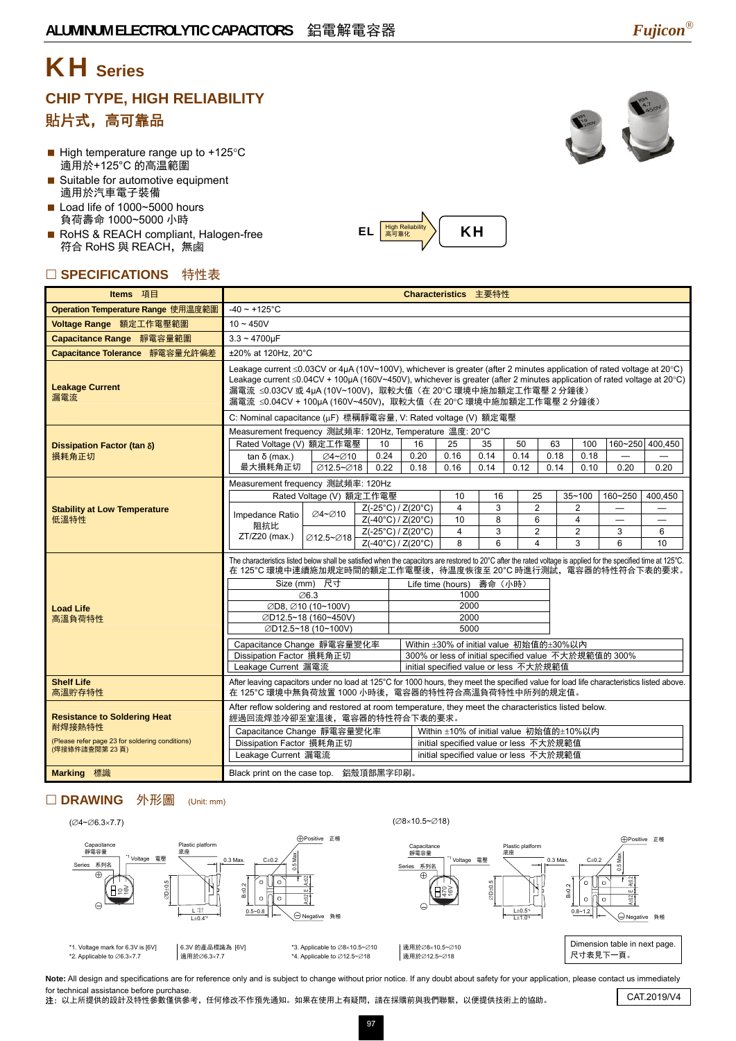# KH **Series**

### **CHIP TYPE, HIGH RELIABILITY**  貼片式,高可靠品

- $\blacksquare$  High temperature range up to +125 $^{\circ}$ C 適用於+125°C 的高温範圍
- Suitable for automotive equipment 適用於汽車電子裝備
- Load life of 1000~5000 hours 負荷壽命 1000~5000 小時
- RoHS & REACH compliant, Halogen-free 符合 RoHS 與 REACH, 無鹵

### □ SPECIFICATIONS 特性表



| Items 項目                                                         |                                                                                                                                                                                                                                                                                                                                                                                                                                                             |                          |      |                                  |                                         | Characteristics 主要特性                   |      |                         |                                                      |         |                 |
|------------------------------------------------------------------|-------------------------------------------------------------------------------------------------------------------------------------------------------------------------------------------------------------------------------------------------------------------------------------------------------------------------------------------------------------------------------------------------------------------------------------------------------------|--------------------------|------|----------------------------------|-----------------------------------------|----------------------------------------|------|-------------------------|------------------------------------------------------|---------|-----------------|
| Operation Temperature Range 使用温度範圍                               | $-40 \sim +125$ °C                                                                                                                                                                                                                                                                                                                                                                                                                                          |                          |      |                                  |                                         |                                        |      |                         |                                                      |         |                 |
| Voltage Range 額定工作電壓範圍                                           | $10 - 450V$                                                                                                                                                                                                                                                                                                                                                                                                                                                 |                          |      |                                  |                                         |                                        |      |                         |                                                      |         |                 |
| Capacitance Range 靜電容量範圍                                         | $3.3 - 4700 \mu F$                                                                                                                                                                                                                                                                                                                                                                                                                                          |                          |      |                                  |                                         |                                        |      |                         |                                                      |         |                 |
| Capacitance Tolerance 靜電容量允許偏差                                   |                                                                                                                                                                                                                                                                                                                                                                                                                                                             | ±20% at 120Hz, 20°C      |      |                                  |                                         |                                        |      |                         |                                                      |         |                 |
| <b>Leakage Current</b><br>漏電流                                    | Leakage current $\leq$ 0.03CV or 4µA (10V~100V), whichever is greater (after 2 minutes application of rated voltage at 20°C)<br>Leakage current ≤0.04CV + 100µA (160V~450V), whichever is greater (after 2 minutes application of rated voltage at 20°C)<br>漏電流 ≤0.03CV 或 4µA (10V~100V),取較大值 (在 20°C 環境中施加額定工作電壓 2 分鐘後)<br>漏電流 ≤0.04CV + 100µA (160V~450V),取較大值 (在 20℃ 環境中施加額定工作電壓 2 分鐘後)<br>C: Nominal capacitance (µF) 標稱靜電容量, V: Rated voltage (V) 額定電壓 |                          |      |                                  |                                         |                                        |      |                         |                                                      |         |                 |
|                                                                  | Measurement frequency 測試頻率: 120Hz, Temperature 温度: 20°C                                                                                                                                                                                                                                                                                                                                                                                                     |                          |      |                                  |                                         |                                        |      |                         |                                                      |         |                 |
| Dissipation Factor (tan δ)                                       | Rated Voltage (V) 額定工作電壓                                                                                                                                                                                                                                                                                                                                                                                                                                    |                          | 10   | 16                               | 25                                      | 35                                     | 50   | 63                      | 100                                                  |         | 160~250 400,450 |
| 損耗角正切                                                            | $tan δ$ (max.)                                                                                                                                                                                                                                                                                                                                                                                                                                              | ∅4~∅10                   | 0.24 | 0.20                             | 0.16                                    | 0.14                                   | 0.14 | 0.18                    | 0.18                                                 |         |                 |
|                                                                  | 最大損耗角正切                                                                                                                                                                                                                                                                                                                                                                                                                                                     | Ø12.5~Ø18                | 0.22 | 0.18                             | 0.16                                    | 0.14                                   | 0.12 | 0.14                    | 0.10                                                 | 0.20    | 0.20            |
|                                                                  | Measurement frequency 測試頻率: 120Hz                                                                                                                                                                                                                                                                                                                                                                                                                           |                          |      |                                  |                                         |                                        |      |                         |                                                      |         |                 |
|                                                                  |                                                                                                                                                                                                                                                                                                                                                                                                                                                             | Rated Voltage (V) 額定工作電壓 |      |                                  | 10                                      | 16                                     |      | 25                      | $35 - 100$                                           | 160~250 | 400,450         |
| <b>Stability at Low Temperature</b>                              |                                                                                                                                                                                                                                                                                                                                                                                                                                                             |                          |      | Z(-25°C) / Z(20°C)               | $\overline{\mathbf{4}}$                 | 3                                      |      | $\overline{2}$          | 2                                                    |         |                 |
| 低溫特性                                                             | Impedance Ratio<br>阻抗比                                                                                                                                                                                                                                                                                                                                                                                                                                      | ∅4~∅10                   |      | $Z(-40^{\circ}C)/Z(20^{\circ}C)$ | 10                                      | 8                                      |      | 6                       | 4                                                    |         |                 |
|                                                                  | ZT/Z20 (max.)                                                                                                                                                                                                                                                                                                                                                                                                                                               | ∅12.5~Ø18                |      | Z(-25°C) / Z(20°C)               | $\overline{4}$                          | 3                                      |      | $\overline{2}$          | $\overline{2}$                                       | 3       | 6               |
|                                                                  |                                                                                                                                                                                                                                                                                                                                                                                                                                                             |                          |      | Z(-40°C) / Z(20°C)               | 8                                       | 6                                      |      | $\overline{\mathbf{4}}$ | 3                                                    | 6       | 10              |
|                                                                  | The characteristics listed below shall be satisfied when the capacitors are restored to 20°C after the rated voltage is applied for the specified time at 125°C.<br>在 125℃ 環境中連續施加規定時間的額定工作電壓後,待温度恢復至 20℃ 時進行測試,電容器的特性符合下表的要求。                                                                                                                                                                                                                              | Size (mm) 尺寸             |      |                                  |                                         |                                        |      |                         |                                                      |         |                 |
|                                                                  |                                                                                                                                                                                                                                                                                                                                                                                                                                                             | ∅6.3                     |      |                                  | Life time (hours) 壽命 (小時)<br>1000       |                                        |      |                         |                                                      |         |                 |
| <b>Load Life</b>                                                 |                                                                                                                                                                                                                                                                                                                                                                                                                                                             | ØD8, Ø10 (10~100V)       |      |                                  | 2000                                    |                                        |      |                         |                                                      |         |                 |
| 高溫負荷特性                                                           |                                                                                                                                                                                                                                                                                                                                                                                                                                                             | ØD12.5~18 (160~450V)     |      |                                  | 2000                                    |                                        |      |                         |                                                      |         |                 |
|                                                                  |                                                                                                                                                                                                                                                                                                                                                                                                                                                             | ØD12.5~18 (10~100V)      |      |                                  |                                         | 5000                                   |      |                         |                                                      |         |                 |
|                                                                  | Capacitance Change 靜電容量變化率                                                                                                                                                                                                                                                                                                                                                                                                                                  |                          |      |                                  | Within ±30% of initial value 初始值的±30%以內 |                                        |      |                         |                                                      |         |                 |
|                                                                  | Dissipation Factor 損耗角正切                                                                                                                                                                                                                                                                                                                                                                                                                                    |                          |      |                                  |                                         |                                        |      |                         | 300% or less of initial specified value 不大於規範值的 300% |         |                 |
|                                                                  | Leakage Current 漏電流                                                                                                                                                                                                                                                                                                                                                                                                                                         |                          |      |                                  |                                         | initial specified value or less 不大於規範值 |      |                         |                                                      |         |                 |
| <b>Shelf Life</b><br>高溫貯存特性                                      | After leaving capacitors under no load at 125°C for 1000 hours, they meet the specified value for load life characteristics listed above.<br>在 125℃ 環境中無負荷放置 1000 小時後, 電容器的特性符合高溫負荷特性中所列的規定值。                                                                                                                                                                                                                                                               |                          |      |                                  |                                         |                                        |      |                         |                                                      |         |                 |
| <b>Resistance to Soldering Heat</b><br>耐焊接熱特性                    | After reflow soldering and restored at room temperature, they meet the characteristics listed below.<br>經過回流焊並冷卻至室溫後,電容器的特性符合下表的要求。                                                                                                                                                                                                                                                                                                                         |                          |      |                                  |                                         |                                        |      |                         |                                                      |         |                 |
|                                                                  | Capacitance Change 靜電容量變化率                                                                                                                                                                                                                                                                                                                                                                                                                                  |                          |      |                                  |                                         |                                        |      |                         | Within ±10% of initial value 初始值的±10%以内              |         |                 |
| (Please refer page 23 for soldering conditions)<br>(焊接條件請查閱第23頁) | Dissipation Factor 損耗角正切                                                                                                                                                                                                                                                                                                                                                                                                                                    |                          |      |                                  |                                         | initial specified value or less 不大於規範值 |      |                         |                                                      |         |                 |
|                                                                  | Leakage Current 漏電流                                                                                                                                                                                                                                                                                                                                                                                                                                         |                          |      |                                  |                                         | initial specified value or less 不大於規範值 |      |                         |                                                      |         |                 |
| <b>Marking 標識</b>                                                | Black print on the case top. 鋁殼頂部黑字印刷。                                                                                                                                                                                                                                                                                                                                                                                                                      |                          |      |                                  |                                         |                                        |      |                         |                                                      |         |                 |

 $\left| \text{EL} \right|$   $\frac{\text{High Reliability}}{\text{A} \cdot \text{Diff}}$   $\left| \text{KH} \right|$ 

#### □ DRAWING 外形圖 (Unit: mm)



for technical assistance before purchase.

nor technical assistance before purchase.<br>注:以上所提供的設計及特性參數僅供參考,任何修改不作預先通知。如果在使用上有疑問,請在採購前與我們聯繫,以便提供技術上的協助。 CAT.2019/V4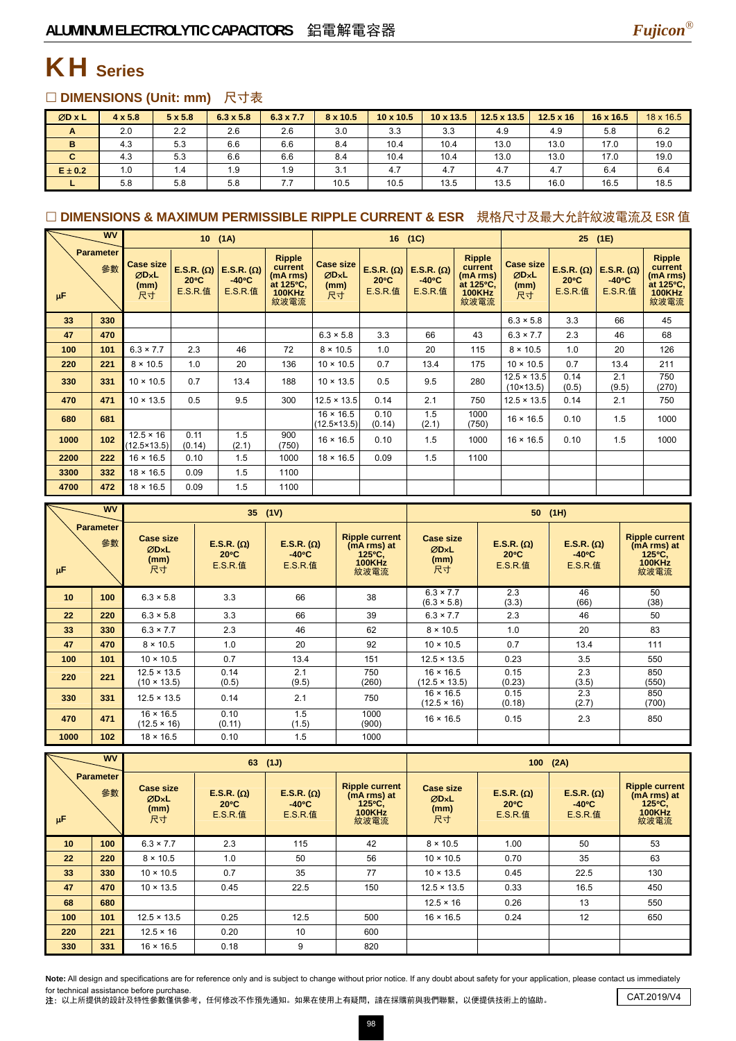

## KH **Series**

### □ DIMENSIONS (Unit: mm) 尺寸表

| ØD x L      | $4 \times 5.8$ | $5 \times 5.8$ | $6.3 \times 5.8$ | $6.3 \times 7.7$ | 8 x 10.5 | $10 \times 10.5$ | $10 \times 13.5$ | $12.5 \times 13.5$ | $12.5 \times 16$ | $16 \times 16.5$ | 18 x 16.5 |
|-------------|----------------|----------------|------------------|------------------|----------|------------------|------------------|--------------------|------------------|------------------|-----------|
| A           | 2.0            | 2.2            | 2.6              | 2.6              | 3.0      | 3.3              | 3.3              | 4.9                | 4.9              | 5.8              | 6.2       |
| в           | 4.3            | 5.3            | 6.6              | 6.6              | 8.4      | 10.4             | 10.4             | 13.0               | 13.0             | 17.0             | 19.0      |
| C           | 4.3            | 5.3            | 6.6              | 6.6              | 8.4      | 10.4             | 10.4             | 13.0               | 13.0             | 17.0             | 19.0      |
| $E \pm 0.2$ | 1.0            | 1.4            | 1.9              | 1.9              | 3.1      | 4.7              | 4.7              | 4.7                | 4.7              | 6.4              | 6.4       |
|             | 5.8            | 5.8            | 5.8              | 7.7              | 10.5     | 10.5             | 13.5             | 13.5               | 16.0             | 16.5             | 18.5      |

#### □ DIMENSIONS & MAXIMUM PERMISSIBLE RIPPLE CURRENT & ESR 規格尺寸及最大允許紋波電流及 ESR 值

|                              | <b>WV</b> |                                          | 10 <sub>1</sub>                                       | (1A)                                                   |                                                                     |                                          |                                                       | 16 (1C)                                                |                                                                            |                                          | 25 <sub>2</sub>                                       | (1E)                                                   |                                                                            |
|------------------------------|-----------|------------------------------------------|-------------------------------------------------------|--------------------------------------------------------|---------------------------------------------------------------------|------------------------------------------|-------------------------------------------------------|--------------------------------------------------------|----------------------------------------------------------------------------|------------------------------------------|-------------------------------------------------------|--------------------------------------------------------|----------------------------------------------------------------------------|
| <b>Parameter</b><br>參數<br>μF |           | <b>Case size</b><br>ØDxL<br>(mm)<br>尺寸   | E.S.R. $(\Omega)$<br>$20^{\circ}$ C<br><b>E.S.R.值</b> | E.S.R. $(\Omega)$<br>$-40^{\circ}$ C<br><b>E.S.R.值</b> | <b>Ripple</b><br>current<br>(mA rms)<br>at 125°C,<br>100KHz<br>紋波電流 | <b>Case size</b><br>ØDxL<br>(mm)<br>尺寸   | E.S.R. $(\Omega)$<br>$20^{\circ}$ C<br><b>E.S.R.值</b> | E.S.R. $(\Omega)$<br>$-40^{\circ}$ C<br><b>E.S.R.值</b> | <b>Ripple</b><br>current<br>(mA rms)<br>at 125°C.<br><b>100KHz</b><br>紋波電流 | <b>Case size</b><br>ØDxL<br>(mm)<br>尺寸   | E.S.R. $(\Omega)$<br>$20^{\circ}$ C<br><b>E.S.R.值</b> | E.S.R. $(\Omega)$<br>$-40^{\circ}$ C<br><b>E.S.R.值</b> | <b>Ripple</b><br>current<br>(mA rms)<br>at 125°C,<br><b>100KHz</b><br>紋波電流 |
| 33                           | 330       |                                          |                                                       |                                                        |                                                                     |                                          |                                                       |                                                        |                                                                            | $6.3 \times 5.8$                         | 3.3                                                   | 66                                                     | 45                                                                         |
| 47                           | 470       |                                          |                                                       |                                                        |                                                                     | $6.3 \times 5.8$                         | 3.3                                                   | 66                                                     | 43                                                                         | $6.3 \times 7.7$                         | 2.3                                                   | 46                                                     | 68                                                                         |
| 100                          | 101       | $6.3 \times 7.7$                         | 2.3                                                   | 46                                                     | 72                                                                  | $8 \times 10.5$                          | 1.0                                                   | 20                                                     | 115                                                                        | $8 \times 10.5$                          | 1.0                                                   | 20                                                     | 126                                                                        |
| 220                          | 221       | $8 \times 10.5$                          | 1.0                                                   | 20                                                     | 136                                                                 | $10 \times 10.5$                         | 0.7                                                   | 13.4                                                   | 175                                                                        | $10 \times 10.5$                         | 0.7                                                   | 13.4                                                   | 211                                                                        |
| 330                          | 331       | $10 \times 10.5$                         | 0.7                                                   | 13.4                                                   | 188                                                                 | $10 \times 13.5$                         | 0.5                                                   | 9.5                                                    | 280                                                                        | $12.5 \times 13.5$<br>$(10 \times 13.5)$ | 0.14<br>(0.5)                                         | 2.1<br>(9.5)                                           | 750<br>(270)                                                               |
| 470                          | 471       | $10 \times 13.5$                         | 0.5                                                   | 9.5                                                    | 300                                                                 | $12.5 \times 13.5$                       | 0.14                                                  | 2.1                                                    | 750                                                                        | $12.5 \times 13.5$                       | 0.14                                                  | 2.1                                                    | 750                                                                        |
| 680                          | 681       |                                          |                                                       |                                                        |                                                                     | $16 \times 16.5$<br>$(12.5 \times 13.5)$ | 0.10<br>(0.14)                                        | 1.5<br>(2.1)                                           | 1000<br>(750)                                                              | $16 \times 16.5$                         | 0.10                                                  | 1.5                                                    | 1000                                                                       |
| 1000                         | 102       | $12.5 \times 16$<br>$(12.5 \times 13.5)$ | 0.11<br>(0.14)                                        | 1.5<br>(2.1)                                           | 900<br>(750)                                                        | $16 \times 16.5$                         | 0.10                                                  | 1.5                                                    | 1000                                                                       | $16 \times 16.5$                         | 0.10                                                  | 1.5                                                    | 1000                                                                       |
| 2200                         | 222       | $16 \times 16.5$                         | 0.10                                                  | 1.5                                                    | 1000                                                                | $18 \times 16.5$                         | 0.09                                                  | 1.5                                                    | 1100                                                                       |                                          |                                                       |                                                        |                                                                            |
| 3300                         | 332       | $18 \times 16.5$                         | 0.09                                                  | 1.5                                                    | 1100                                                                |                                          |                                                       |                                                        |                                                                            |                                          |                                                       |                                                        |                                                                            |
| 4700                         | 472       | $18 \times 16.5$                         | 0.09                                                  | 1.5                                                    | 1100                                                                |                                          |                                                       |                                                        |                                                                            |                                          |                                                       |                                                        |                                                                            |

|                              | <b>WV</b> |                                          |                                                       | 35(1V)                                                 |                                                                            |                                          |                                                       | $50$ (1H)                                              |                                                                            |
|------------------------------|-----------|------------------------------------------|-------------------------------------------------------|--------------------------------------------------------|----------------------------------------------------------------------------|------------------------------------------|-------------------------------------------------------|--------------------------------------------------------|----------------------------------------------------------------------------|
| <b>Parameter</b><br>參數<br>μF |           | <b>Case size</b><br>ØDxL<br>(mm)<br>尺寸   | E.S.R. $(\Omega)$<br>$20^{\circ}$ C<br><b>E.S.R.值</b> | E.S.R. $(\Omega)$<br>$-40^{\circ}$ C<br><b>E.S.R.值</b> | <b>Ripple current</b><br>(mA rms) at<br>$125^{\circ}$ C,<br>100KHz<br>紋波電流 | <b>Case size</b><br>ØDxL<br>(mm)<br>尺寸   | E.S.R. $(\Omega)$<br>$20^{\circ}$ C<br><b>E.S.R.值</b> | E.S.R. $(\Omega)$<br>$-40^{\circ}$ C<br><b>E.S.R.值</b> | <b>Ripple current</b><br>(mA rms) at<br>$125^{\circ}$ C,<br>100KHz<br>紋波電流 |
| 10                           | 100       | $6.3 \times 5.8$                         | 3.3                                                   | 66                                                     | 38                                                                         | $6.3 \times 7.7$<br>$(6.3 \times 5.8)$   | 2.3<br>(3.3)                                          | 46<br>(66)                                             | 50<br>(38)                                                                 |
| 22                           | 220       | $6.3 \times 5.8$                         | 3.3                                                   | 66                                                     | 39                                                                         | $6.3 \times 7.7$                         | 2.3                                                   | 46                                                     | 50                                                                         |
| 33                           | 330       | $6.3 \times 7.7$                         | 2.3                                                   | 46                                                     | 62                                                                         | $8 \times 10.5$                          | 1.0                                                   | 20                                                     | 83                                                                         |
| 47                           | 470       | $8 \times 10.5$                          | 1.0                                                   | 20                                                     | 92                                                                         | $10 \times 10.5$                         | 0.7                                                   | 13.4                                                   | 111                                                                        |
| 100                          | 101       | $10 \times 10.5$                         | 0.7                                                   | 13.4                                                   | 151                                                                        | $12.5 \times 13.5$                       | 0.23                                                  | 3.5                                                    | 550                                                                        |
| 220                          | 221       | $12.5 \times 13.5$<br>$(10 \times 13.5)$ | 0.14<br>(0.5)                                         | 2.1<br>(9.5)                                           | 750<br>(260)                                                               | $16 \times 16.5$<br>$(12.5 \times 13.5)$ | 0.15<br>(0.23)                                        | 2.3<br>(3.5)                                           | 850<br>(550)                                                               |
| 330                          | 331       | $12.5 \times 13.5$                       | 0.14                                                  | 2.1                                                    | 750                                                                        | $16 \times 16.5$<br>$(12.5 \times 16)$   | 0.15<br>(0.18)                                        | 2.3<br>(2.7)                                           | 850<br>(700)                                                               |
| 470                          | 471       | $16 \times 16.5$<br>$(12.5 \times 16)$   | 0.10<br>(0.11)                                        | 1.5<br>(1.5)                                           | 1000<br>(900)                                                              | $16 \times 16.5$                         | 0.15                                                  | 2.3                                                    | 850                                                                        |
| 1000                         | 102       | $18 \times 16.5$                         | 0.10                                                  | 1.5                                                    | 1000                                                                       |                                          |                                                       |                                                        |                                                                            |

|     | <b>WV</b>              |                                        | 63                                                    | (1J)                                                   |                                                                            |                                        | 100                                                   | (2A)                                                   |                                                                                   |
|-----|------------------------|----------------------------------------|-------------------------------------------------------|--------------------------------------------------------|----------------------------------------------------------------------------|----------------------------------------|-------------------------------------------------------|--------------------------------------------------------|-----------------------------------------------------------------------------------|
| μF  | <b>Parameter</b><br>參數 | <b>Case size</b><br>ØDxL<br>(mm)<br>尺寸 | E.S.R. $(\Omega)$<br>$20^{\circ}$ C<br><b>E.S.R.值</b> | E.S.R. $(\Omega)$<br>$-40^{\circ}$ C<br><b>E.S.R.值</b> | <b>Ripple current</b><br>(mA rms) at<br>$125^{\circ}$ C.<br>100KHz<br>紋波電流 | <b>Case size</b><br>ØDxL<br>(mm)<br>尺寸 | E.S.R. $(\Omega)$<br>$20^{\circ}$ C<br><b>E.S.R.值</b> | E.S.R. $(\Omega)$<br>$-40^{\circ}$ C<br><b>E.S.R.值</b> | <b>Ripple current</b><br>(mA rms) at<br>$125^{\circ}$ C.<br><b>100KHz</b><br>紋波電流 |
| 10  | 100                    | $6.3 \times 7.7$                       | 2.3                                                   | 115                                                    | 42                                                                         | $8 \times 10.5$                        | 1.00                                                  | 50                                                     | 53                                                                                |
| 22  | 220                    | $8 \times 10.5$                        | 1.0                                                   | 50                                                     | 56                                                                         | $10 \times 10.5$                       | 0.70                                                  | 35                                                     | 63                                                                                |
| 33  | 330                    | $10 \times 10.5$                       | 0.7                                                   | 35                                                     | 77                                                                         | $10 \times 13.5$                       | 0.45                                                  | 22.5                                                   | 130                                                                               |
| 47  | 470                    | $10 \times 13.5$                       | 0.45                                                  | 22.5                                                   | 150                                                                        | $12.5 \times 13.5$                     | 0.33                                                  | 16.5                                                   | 450                                                                               |
| 68  | 680                    |                                        |                                                       |                                                        |                                                                            | $12.5 \times 16$                       | 0.26                                                  | 13                                                     | 550                                                                               |
| 100 | 101                    | $12.5 \times 13.5$                     | 0.25                                                  | 12.5                                                   | 500                                                                        | $16 \times 16.5$                       | 0.24                                                  | 12                                                     | 650                                                                               |
| 220 | 221                    | $12.5 \times 16$                       | 0.20                                                  | 10                                                     | 600                                                                        |                                        |                                                       |                                                        |                                                                                   |
| 330 | 331                    | $16 \times 16.5$                       | 0.18                                                  | 9                                                      | 820                                                                        |                                        |                                                       |                                                        |                                                                                   |

Note: All design and specifications are for reference only and is subject to change without prior notice. If any doubt about safety for your application, please contact us immediately for technical assistance before purchase.

for technical assistance before purchase.<br>注: 以上所提供的設計及特性參數僅供參考,任何修改不作預先通知。如果在使用上有疑問,請在採購前與我們聯繫,以便提供技術上的協助。 CAT.2019/V4